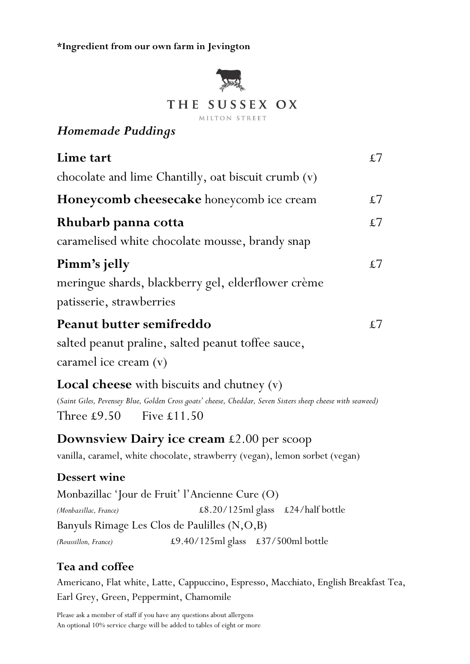**\*Ingredient from our own farm in Jevington**



## *Homemade Puddings*

| Lime tart                                                                                                                                                                                                 | $\pounds 7$ |
|-----------------------------------------------------------------------------------------------------------------------------------------------------------------------------------------------------------|-------------|
| chocolate and lime Chantilly, oat biscuit crumb (v)                                                                                                                                                       |             |
| Honeycomb cheesecake honeycomb ice cream                                                                                                                                                                  | $\pounds 7$ |
| Rhubarb panna cotta                                                                                                                                                                                       | $\pounds 7$ |
| caramelised white chocolate mousse, brandy snap                                                                                                                                                           |             |
| Pimm's jelly                                                                                                                                                                                              | $\pounds 7$ |
| meringue shards, blackberry gel, elderflower crème                                                                                                                                                        |             |
| patisserie, strawberries                                                                                                                                                                                  |             |
| Peanut butter semifreddo                                                                                                                                                                                  | $\pounds 7$ |
| salted peanut praline, salted peanut toffee sauce,                                                                                                                                                        |             |
| caramel ice cream $(v)$                                                                                                                                                                                   |             |
| <b>Local cheese</b> with biscuits and chutney $(v)$<br>(Saint Giles, Pevensey Blue, Golden Cross goats' cheese, Cheddar, Seven Sisters sheep cheese with seaweed)<br>Three $£9.50$<br>Five $\pounds11.50$ |             |
| Downsview Dairy ice cream £2.00 per scoop<br>vanilla, caramel, white chocolate, strawberry (vegan), lemon sorbet (vegan)                                                                                  |             |
| <b>Dessert wine</b>                                                                                                                                                                                       |             |
| Monbazillac 'Jour de Fruit' l'Ancienne Cure (O)                                                                                                                                                           |             |
| £8.20/125ml glass £24/half bottle<br>(Monbazillac, France)                                                                                                                                                |             |
| Banyuls Rimage Les Clos de Paulilles (N,O,B)                                                                                                                                                              |             |
| £9.40/125ml glass £37/500ml bottle<br>(Roussillon, France)                                                                                                                                                |             |

## **Tea and coffee**

Americano, Flat white, Latte, Cappuccino, Espresso, Macchiato, English Breakfast Tea, Earl Grey, Green, Peppermint, Chamomile

[Please](http://www.thesussexox.co.uk/) ask a member of staff if you have any questions about allergens An optional 10% service charge will be added to tables of eight or more